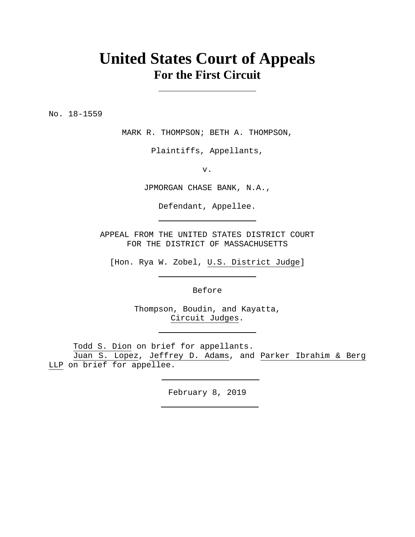## **United States Court of Appeals For the First Circuit**

No. 18-1559

MARK R. THOMPSON; BETH A. THOMPSON,

Plaintiffs, Appellants,

v.

JPMORGAN CHASE BANK, N.A.,

Defendant, Appellee.

APPEAL FROM THE UNITED STATES DISTRICT COURT FOR THE DISTRICT OF MASSACHUSETTS

[Hon. Rya W. Zobel, U.S. District Judge]

Before

Thompson, Boudin, and Kayatta, Circuit Judges.

Todd S. Dion on brief for appellants.

Juan S. Lopez, Jeffrey D. Adams, and Parker Ibrahim & Berg LLP on brief for appellee.

February 8, 2019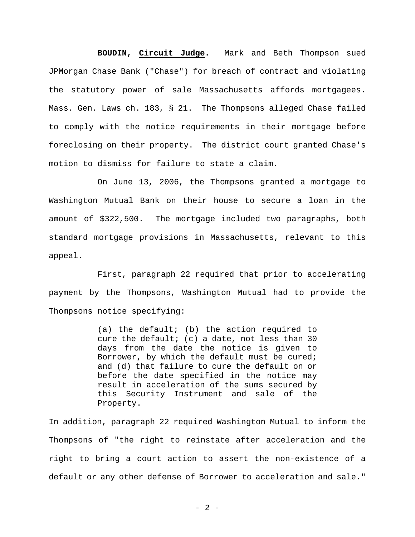## **BOUDIN, Circuit Judge.** Mark and Beth Thompson sued

JPMorgan Chase Bank ("Chase") for breach of contract and violating the statutory power of sale Massachusetts affords mortgagees. Mass. Gen. Laws ch. 183, § 21. The Thompsons alleged Chase failed to comply with the notice requirements in their mortgage before foreclosing on their property. The district court granted Chase's motion to dismiss for failure to state a claim.

On June 13, 2006, the Thompsons granted a mortgage to Washington Mutual Bank on their house to secure a loan in the amount of \$322,500. The mortgage included two paragraphs, both standard mortgage provisions in Massachusetts, relevant to this appeal.

First, paragraph 22 required that prior to accelerating payment by the Thompsons, Washington Mutual had to provide the Thompsons notice specifying:

> (a) the default; (b) the action required to cure the default; (c) a date, not less than 30 days from the date the notice is given to Borrower, by which the default must be cured; and (d) that failure to cure the default on or before the date specified in the notice may result in acceleration of the sums secured by this Security Instrument and sale of the Property.

In addition, paragraph 22 required Washington Mutual to inform the Thompsons of "the right to reinstate after acceleration and the right to bring a court action to assert the non-existence of a default or any other defense of Borrower to acceleration and sale."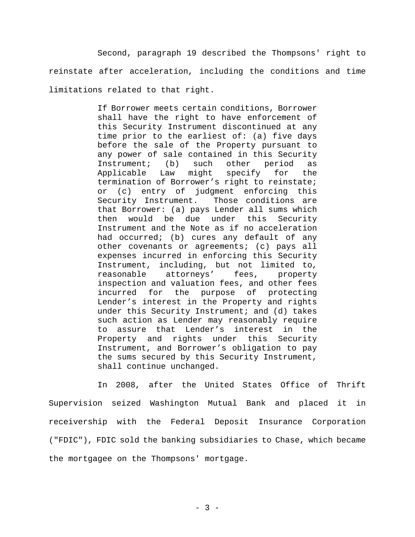Second, paragraph 19 described the Thompsons' right to reinstate after acceleration, including the conditions and time limitations related to that right.

> If Borrower meets certain conditions, Borrower shall have the right to have enforcement of this Security Instrument discontinued at any time prior to the earliest of: (a) five days before the sale of the Property pursuant to any power of sale contained in this Security Instrument; (b) such other period as Applicable Law might specify for the termination of Borrower's right to reinstate; or (c) entry of judgment enforcing this Security Instrument. Those conditions are that Borrower: (a) pays Lender all sums which then would be due under this Security Instrument and the Note as if no acceleration had occurred; (b) cures any default of any other covenants or agreements; (c) pays all expenses incurred in enforcing this Security Instrument, including, but not limited to, reasonable attorneys' fees, property inspection and valuation fees, and other fees incurred for the purpose of protecting Lender's interest in the Property and rights under this Security Instrument; and (d) takes such action as Lender may reasonably require to assure that Lender's interest in the Property and rights under this Security Instrument, and Borrower's obligation to pay the sums secured by this Security Instrument, shall continue unchanged.

In 2008, after the United States Office of Thrift Supervision seized Washington Mutual Bank and placed it in receivership with the Federal Deposit Insurance Corporation ("FDIC"), FDIC sold the banking subsidiaries to Chase, which became the mortgagee on the Thompsons' mortgage.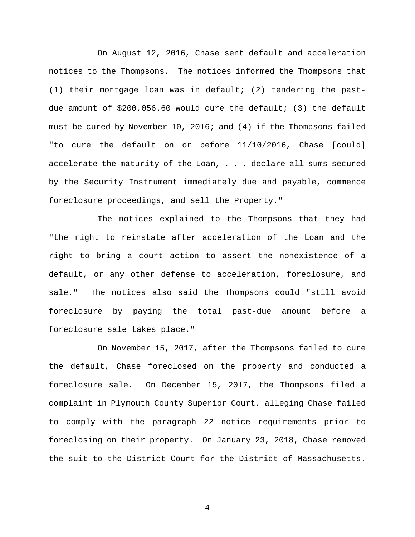On August 12, 2016, Chase sent default and acceleration notices to the Thompsons. The notices informed the Thompsons that (1) their mortgage loan was in default; (2) tendering the pastdue amount of \$200,056.60 would cure the default; (3) the default must be cured by November 10, 2016; and (4) if the Thompsons failed "to cure the default on or before 11/10/2016, Chase [could] accelerate the maturity of the Loan, . . . declare all sums secured by the Security Instrument immediately due and payable, commence foreclosure proceedings, and sell the Property."

The notices explained to the Thompsons that they had "the right to reinstate after acceleration of the Loan and the right to bring a court action to assert the nonexistence of a default, or any other defense to acceleration, foreclosure, and sale." The notices also said the Thompsons could "still avoid foreclosure by paying the total past-due amount before a foreclosure sale takes place."

On November 15, 2017, after the Thompsons failed to cure the default, Chase foreclosed on the property and conducted a foreclosure sale. On December 15, 2017, the Thompsons filed a complaint in Plymouth County Superior Court, alleging Chase failed to comply with the paragraph 22 notice requirements prior to foreclosing on their property. On January 23, 2018, Chase removed the suit to the District Court for the District of Massachusetts.

- 4 -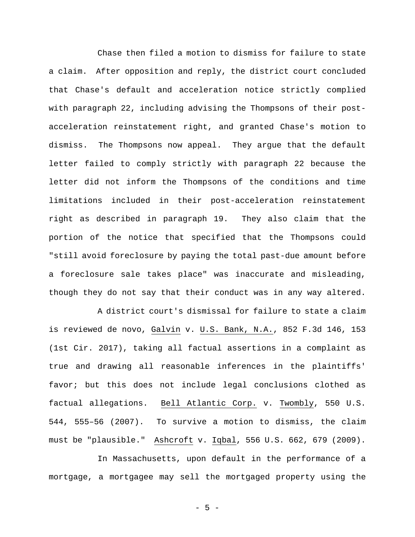Chase then filed a motion to dismiss for failure to state a claim. After opposition and reply, the district court concluded that Chase's default and acceleration notice strictly complied with paragraph 22, including advising the Thompsons of their postacceleration reinstatement right, and granted Chase's motion to dismiss. The Thompsons now appeal. They argue that the default letter failed to comply strictly with paragraph 22 because the letter did not inform the Thompsons of the conditions and time limitations included in their post-acceleration reinstatement right as described in paragraph 19. They also claim that the portion of the notice that specified that the Thompsons could "still avoid foreclosure by paying the total past-due amount before a foreclosure sale takes place" was inaccurate and misleading, though they do not say that their conduct was in any way altered.

A district court's dismissal for failure to state a claim is reviewed de novo, Galvin v. U.S. Bank, N.A., 852 F.3d 146, 153 (1st Cir. 2017), taking all factual assertions in a complaint as true and drawing all reasonable inferences in the plaintiffs' favor; but this does not include legal conclusions clothed as factual allegations. Bell Atlantic Corp. v. Twombly, 550 U.S. 544, 555–56 (2007). To survive a motion to dismiss, the claim must be "plausible." Ashcroft v. Iqbal, 556 U.S. 662, 679 (2009).

In Massachusetts, upon default in the performance of a mortgage, a mortgagee may sell the mortgaged property using the

- 5 -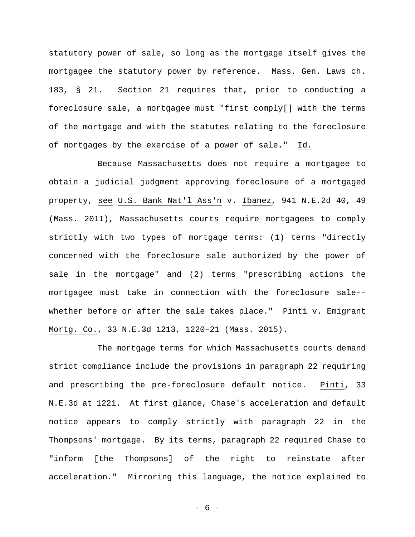statutory power of sale, so long as the mortgage itself gives the mortgagee the statutory power by reference. Mass. Gen. Laws ch. 183, § 21. Section 21 requires that, prior to conducting a foreclosure sale, a mortgagee must "first comply[] with the terms of the mortgage and with the statutes relating to the foreclosure of mortgages by the exercise of a power of sale." Id.

Because Massachusetts does not require a mortgagee to obtain a judicial judgment approving foreclosure of a mortgaged property, see U.S. Bank Nat'l Ass'n v. Ibanez, 941 N.E.2d 40, 49 (Mass. 2011), Massachusetts courts require mortgagees to comply strictly with two types of mortgage terms: (1) terms "directly concerned with the foreclosure sale authorized by the power of sale in the mortgage" and (2) terms "prescribing actions the mortgagee must take in connection with the foreclosure sale- whether before or after the sale takes place." Pinti v. Emigrant Mortg. Co., 33 N.E.3d 1213, 1220–21 (Mass. 2015).

The mortgage terms for which Massachusetts courts demand strict compliance include the provisions in paragraph 22 requiring and prescribing the pre-foreclosure default notice. Pinti, 33 N.E.3d at 1221. At first glance, Chase's acceleration and default notice appears to comply strictly with paragraph 22 in the Thompsons' mortgage. By its terms, paragraph 22 required Chase to "inform [the Thompsons] of the right to reinstate after acceleration." Mirroring this language, the notice explained to

- 6 -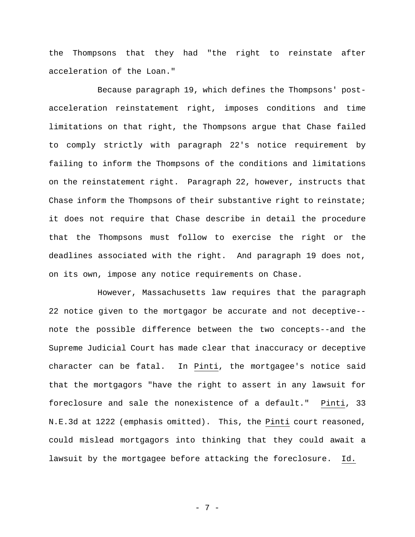the Thompsons that they had "the right to reinstate after acceleration of the Loan."

Because paragraph 19, which defines the Thompsons' postacceleration reinstatement right, imposes conditions and time limitations on that right, the Thompsons argue that Chase failed to comply strictly with paragraph 22's notice requirement by failing to inform the Thompsons of the conditions and limitations on the reinstatement right. Paragraph 22, however, instructs that Chase inform the Thompsons of their substantive right to reinstate; it does not require that Chase describe in detail the procedure that the Thompsons must follow to exercise the right or the deadlines associated with the right. And paragraph 19 does not, on its own, impose any notice requirements on Chase.

However, Massachusetts law requires that the paragraph 22 notice given to the mortgagor be accurate and not deceptive- note the possible difference between the two concepts--and the Supreme Judicial Court has made clear that inaccuracy or deceptive character can be fatal. In Pinti, the mortgagee's notice said that the mortgagors "have the right to assert in any lawsuit for foreclosure and sale the nonexistence of a default." Pinti, 33 N.E.3d at 1222 (emphasis omitted). This, the Pinti court reasoned, could mislead mortgagors into thinking that they could await a lawsuit by the mortgagee before attacking the foreclosure. Id.

- 7 -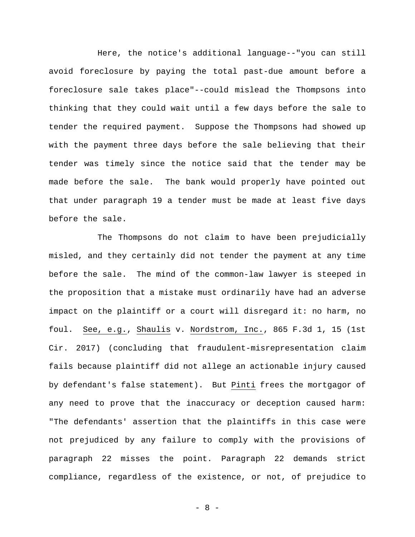Here, the notice's additional language--"you can still avoid foreclosure by paying the total past-due amount before a foreclosure sale takes place"--could mislead the Thompsons into thinking that they could wait until a few days before the sale to tender the required payment. Suppose the Thompsons had showed up with the payment three days before the sale believing that their tender was timely since the notice said that the tender may be made before the sale. The bank would properly have pointed out that under paragraph 19 a tender must be made at least five days before the sale.

The Thompsons do not claim to have been prejudicially misled, and they certainly did not tender the payment at any time before the sale. The mind of the common-law lawyer is steeped in the proposition that a mistake must ordinarily have had an adverse impact on the plaintiff or a court will disregard it: no harm, no foul. See, e.g., Shaulis v. Nordstrom, Inc., 865 F.3d 1, 15 (1st Cir. 2017) (concluding that fraudulent-misrepresentation claim fails because plaintiff did not allege an actionable injury caused by defendant's false statement). But Pinti frees the mortgagor of any need to prove that the inaccuracy or deception caused harm: "The defendants' assertion that the plaintiffs in this case were not prejudiced by any failure to comply with the provisions of paragraph 22 misses the point. Paragraph 22 demands strict compliance, regardless of the existence, or not, of prejudice to

- 8 -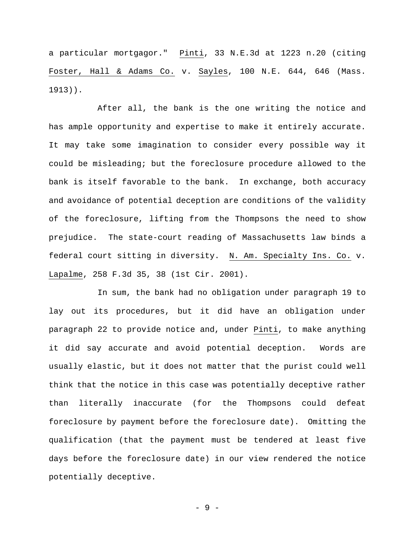a particular mortgagor." Pinti, 33 N.E.3d at 1223 n.20 (citing Foster, Hall & Adams Co. v. Sayles, 100 N.E. 644, 646 (Mass. 1913)).

After all, the bank is the one writing the notice and has ample opportunity and expertise to make it entirely accurate. It may take some imagination to consider every possible way it could be misleading; but the foreclosure procedure allowed to the bank is itself favorable to the bank. In exchange, both accuracy and avoidance of potential deception are conditions of the validity of the foreclosure, lifting from the Thompsons the need to show prejudice. The state-court reading of Massachusetts law binds a federal court sitting in diversity. N. Am. Specialty Ins. Co. v. Lapalme, 258 F.3d 35, 38 (1st Cir. 2001).

In sum, the bank had no obligation under paragraph 19 to lay out its procedures, but it did have an obligation under paragraph 22 to provide notice and, under Pinti, to make anything it did say accurate and avoid potential deception. Words are usually elastic, but it does not matter that the purist could well think that the notice in this case was potentially deceptive rather than literally inaccurate (for the Thompsons could defeat foreclosure by payment before the foreclosure date). Omitting the qualification (that the payment must be tendered at least five days before the foreclosure date) in our view rendered the notice potentially deceptive.

- 9 -